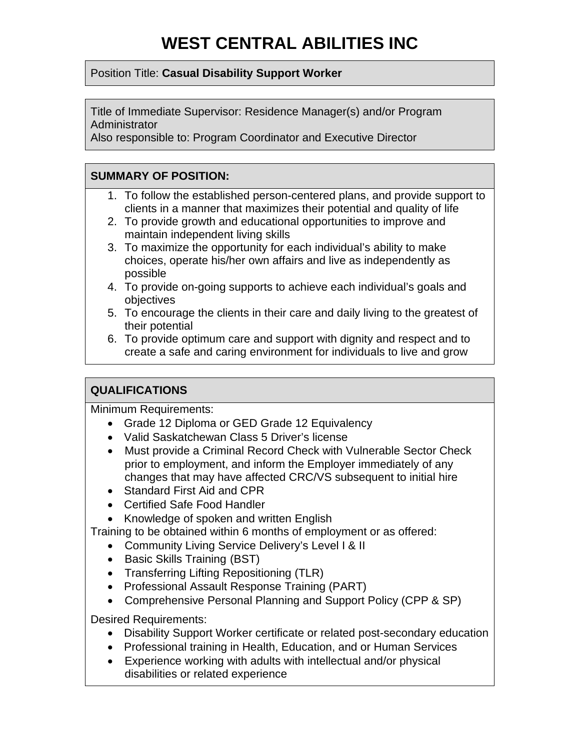#### Position Title: **Casual Disability Support Worker**

Title of Immediate Supervisor: Residence Manager(s) and/or Program **Administrator** 

Also responsible to: Program Coordinator and Executive Director

## **SUMMARY OF POSITION:**

- 1. To follow the established person-centered plans, and provide support to clients in a manner that maximizes their potential and quality of life
- 2. To provide growth and educational opportunities to improve and maintain independent living skills
- 3. To maximize the opportunity for each individual's ability to make choices, operate his/her own affairs and live as independently as possible
- 4. To provide on-going supports to achieve each individual's goals and objectives
- 5. To encourage the clients in their care and daily living to the greatest of their potential
- 6. To provide optimum care and support with dignity and respect and to create a safe and caring environment for individuals to live and grow

# **QUALIFICATIONS**

Minimum Requirements:

- Grade 12 Diploma or GED Grade 12 Equivalency
- Valid Saskatchewan Class 5 Driver's license
- Must provide a Criminal Record Check with Vulnerable Sector Check prior to employment, and inform the Employer immediately of any changes that may have affected CRC/VS subsequent to initial hire
- Standard First Aid and CPR
- Certified Safe Food Handler
- Knowledge of spoken and written English

Training to be obtained within 6 months of employment or as offered:

- Community Living Service Delivery's Level I & II
- Basic Skills Training (BST)
- Transferring Lifting Repositioning (TLR)
- Professional Assault Response Training (PART)
- Comprehensive Personal Planning and Support Policy (CPP & SP)

Desired Requirements:

- Disability Support Worker certificate or related post-secondary education
- Professional training in Health, Education, and or Human Services
- Experience working with adults with intellectual and/or physical disabilities or related experience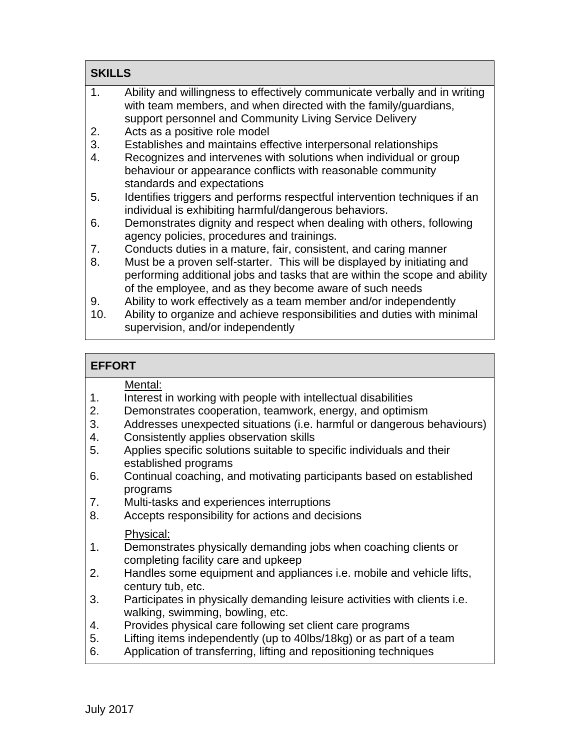| <b>SKILLS</b> |                                                                                                                                                                                                                  |  |
|---------------|------------------------------------------------------------------------------------------------------------------------------------------------------------------------------------------------------------------|--|
| 1.            | Ability and willingness to effectively communicate verbally and in writing<br>with team members, and when directed with the family/guardians,<br>support personnel and Community Living Service Delivery         |  |
| 2.            | Acts as a positive role model                                                                                                                                                                                    |  |
| 3.            | Establishes and maintains effective interpersonal relationships                                                                                                                                                  |  |
| 4.            | Recognizes and intervenes with solutions when individual or group<br>behaviour or appearance conflicts with reasonable community<br>standards and expectations                                                   |  |
| 5.            | Identifies triggers and performs respectful intervention techniques if an                                                                                                                                        |  |
|               | individual is exhibiting harmful/dangerous behaviors.                                                                                                                                                            |  |
| 6.            | Demonstrates dignity and respect when dealing with others, following<br>agency policies, procedures and trainings.                                                                                               |  |
| 7.            | Conducts duties in a mature, fair, consistent, and caring manner                                                                                                                                                 |  |
| 8.            | Must be a proven self-starter. This will be displayed by initiating and<br>performing additional jobs and tasks that are within the scope and ability<br>of the employee, and as they become aware of such needs |  |
| 9.            | Ability to work effectively as a team member and/or independently                                                                                                                                                |  |
| 10.           | Ability to organize and achieve responsibilities and duties with minimal<br>supervision, and/or independently                                                                                                    |  |

| <b>EFFORT</b> |
|---------------|
|               |

Ē

|                | Mental:                                                                          |
|----------------|----------------------------------------------------------------------------------|
| 1.             | Interest in working with people with intellectual disabilities                   |
| 2.             | Demonstrates cooperation, teamwork, energy, and optimism                         |
| 3.             | Addresses unexpected situations (i.e. harmful or dangerous behaviours)           |
| 4.             | Consistently applies observation skills                                          |
| 5.             | Applies specific solutions suitable to specific individuals and their            |
|                | established programs                                                             |
| 6.             | Continual coaching, and motivating participants based on established             |
|                | programs                                                                         |
| 7.             | Multi-tasks and experiences interruptions                                        |
| 8.             | Accepts responsibility for actions and decisions                                 |
|                |                                                                                  |
|                | Physical:                                                                        |
| 1 <sub>1</sub> | Demonstrates physically demanding jobs when coaching clients or                  |
|                | completing facility care and upkeep                                              |
| 2.             | Handles some equipment and appliances <i>i.e.</i> mobile and vehicle lifts,      |
|                | century tub, etc.                                                                |
| 3.             | Participates in physically demanding leisure activities with clients <i>i.e.</i> |
|                | walking, swimming, bowling, etc.                                                 |
| 4.             | Provides physical care following set client care programs                        |
| 5.             | Lifting items independently (up to 40lbs/18kg) or as part of a team              |
| 6.             | Application of transferring, lifting and repositioning techniques                |
|                |                                                                                  |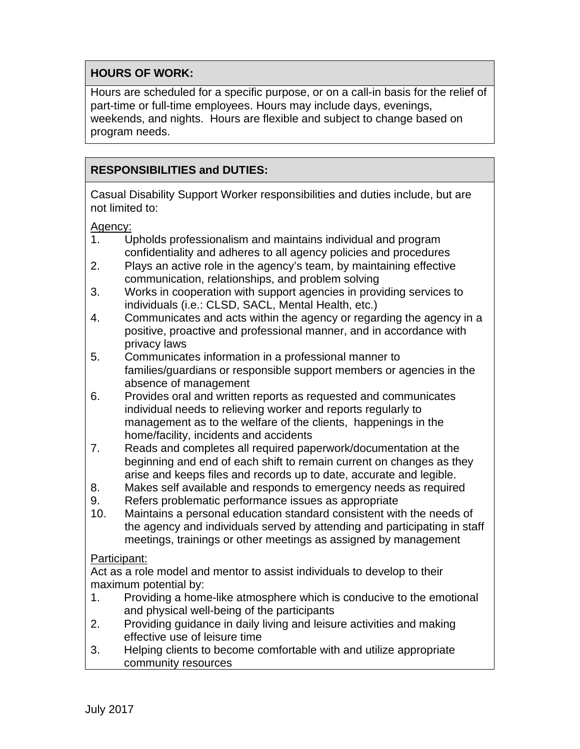### **HOURS OF WORK:**

Hours are scheduled for a specific purpose, or on a call-in basis for the relief of part-time or full-time employees. Hours may include days, evenings, weekends, and nights. Hours are flexible and subject to change based on program needs.

### **RESPONSIBILITIES and DUTIES:**

Casual Disability Support Worker responsibilities and duties include, but are not limited to:

Agency:

- 1. Upholds professionalism and maintains individual and program confidentiality and adheres to all agency policies and procedures
- 2. Plays an active role in the agency's team, by maintaining effective communication, relationships, and problem solving
- 3. Works in cooperation with support agencies in providing services to individuals (i.e.: CLSD, SACL, Mental Health, etc.)
- 4. Communicates and acts within the agency or regarding the agency in a positive, proactive and professional manner, and in accordance with privacy laws
- 5. Communicates information in a professional manner to families/guardians or responsible support members or agencies in the absence of management
- 6. Provides oral and written reports as requested and communicates individual needs to relieving worker and reports regularly to management as to the welfare of the clients, happenings in the home/facility, incidents and accidents
- 7. Reads and completes all required paperwork/documentation at the beginning and end of each shift to remain current on changes as they arise and keeps files and records up to date, accurate and legible.
- 8. Makes self available and responds to emergency needs as required
- 9. Refers problematic performance issues as appropriate
- 10. Maintains a personal education standard consistent with the needs of the agency and individuals served by attending and participating in staff meetings, trainings or other meetings as assigned by management

#### Participant:

Act as a role model and mentor to assist individuals to develop to their maximum potential by:

- 1. Providing a home-like atmosphere which is conducive to the emotional and physical well-being of the participants
- 2. Providing guidance in daily living and leisure activities and making effective use of leisure time
- 3. Helping clients to become comfortable with and utilize appropriate community resources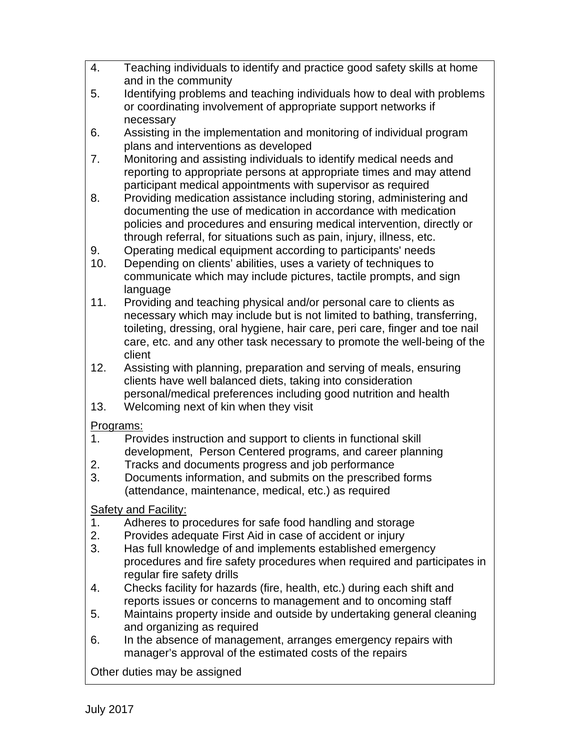4. Teaching individuals to identify and practice good safety skills at home and in the community 5. Identifying problems and teaching individuals how to deal with problems or coordinating involvement of appropriate support networks if necessary 6. Assisting in the implementation and monitoring of individual program plans and interventions as developed 7. Monitoring and assisting individuals to identify medical needs and reporting to appropriate persons at appropriate times and may attend participant medical appointments with supervisor as required 8. Providing medication assistance including storing, administering and documenting the use of medication in accordance with medication policies and procedures and ensuring medical intervention, directly or through referral, for situations such as pain, injury, illness, etc. 9. Operating medical equipment according to participants' needs 10. Depending on clients' abilities, uses a variety of techniques to communicate which may include pictures, tactile prompts, and sign language 11. Providing and teaching physical and/or personal care to clients as necessary which may include but is not limited to bathing, transferring, toileting, dressing, oral hygiene, hair care, peri care, finger and toe nail care, etc. and any other task necessary to promote the well-being of the client 12. Assisting with planning, preparation and serving of meals, ensuring clients have well balanced diets, taking into consideration personal/medical preferences including good nutrition and health 13. Welcoming next of kin when they visit Programs: 1. Provides instruction and support to clients in functional skill development, Person Centered programs, and career planning 2. Tracks and documents progress and job performance 3. Documents information, and submits on the prescribed forms (attendance, maintenance, medical, etc.) as required Safety and Facility: 1. Adheres to procedures for safe food handling and storage 2. Provides adequate First Aid in case of accident or injury 3. Has full knowledge of and implements established emergency procedures and fire safety procedures when required and participates in regular fire safety drills 4. Checks facility for hazards (fire, health, etc.) during each shift and reports issues or concerns to management and to oncoming staff 5. Maintains property inside and outside by undertaking general cleaning and organizing as required 6. In the absence of management, arranges emergency repairs with manager's approval of the estimated costs of the repairs Other duties may be assigned